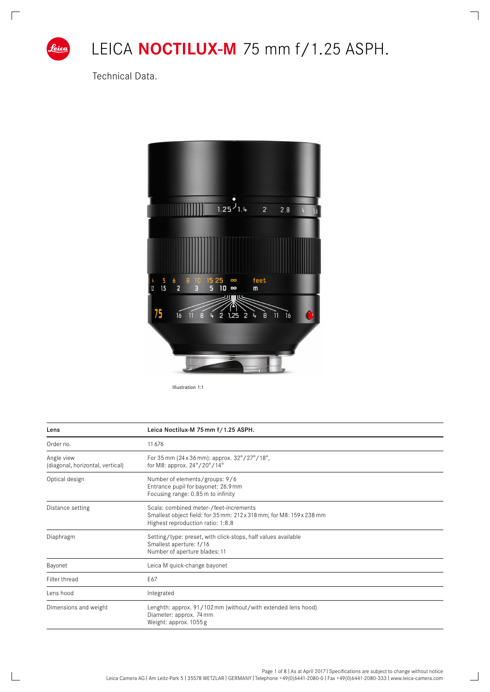

# LEICA **NOCTILUX-M** 75 mm f/1.25 ASPH.

┑

 $\Box$ 

Technical Data.



Illustration 1:1

| Lens                                           | Leica Noctilux-M 75 mm f/1.25 ASPH.                                                                                                                |  |  |  |  |  |  |
|------------------------------------------------|----------------------------------------------------------------------------------------------------------------------------------------------------|--|--|--|--|--|--|
| Order no.                                      | 11676                                                                                                                                              |  |  |  |  |  |  |
| Angle view<br>(diagonal, horizontal, vertical) | For 35 mm (24 x 36 mm): approx. $32^{\circ}/27^{\circ}/18^{\circ}$ ,<br>for M8: approx. $24^{\circ}/20^{\circ}/14^{\circ}$                         |  |  |  |  |  |  |
| Optical design                                 | Number of elements/groups: 9/6<br>Entrance pupil for bayonet: 26.9 mm<br>Focusing range: 0.85 m to infinity                                        |  |  |  |  |  |  |
| Distance setting                               | Scala: combined meter-/feet-increments<br>Smallest object field: for 35 mm: 212x 318 mm; for M8: 159 x 238 mm<br>Highest reproduction ratio: 1:8.8 |  |  |  |  |  |  |
| Diaphragm                                      | Setting/type: preset, with click-stops, half values available<br>Smallest aperture: f/16<br>Number of aperture blades: 11                          |  |  |  |  |  |  |
| Bayonet                                        | Leica M quick-change bayonet                                                                                                                       |  |  |  |  |  |  |
| Filter thread                                  | E67                                                                                                                                                |  |  |  |  |  |  |
| Lens hood                                      | Integrated                                                                                                                                         |  |  |  |  |  |  |
| Dimensions and weight                          | Lenghth: approx. 91/102 mm (without/with extended lens hood)<br>Diameter: approx. 74 mm<br>Weight: approx. 1055 g                                  |  |  |  |  |  |  |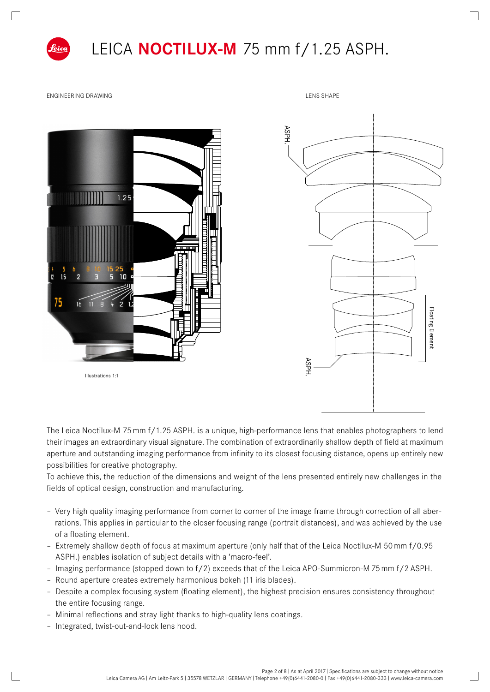

### LEICA **NOCTILUX-M** 75 mm f/1.25 ASPH.

ENGINEERING DRAWING LEGENDER AND LENS SHAPE





The Leica Noctilux-M 75mm f/1.25 ASPH. is a unique, high-performance lens that enables photographers to lend their images an extraordinary visual signature. The combination of extraordinarily shallow depth of field at maximum aperture and outstanding imaging performance from infinity to its closest focusing distance, opens up entirely new possibilities for creative photography.

To achieve this, the reduction of the dimensions and weight of the lens presented entirely new challenges in the fields of optical design, construction and manufacturing.

- Very high quality imaging performance from corner to corner of the image frame through correction of all aberrations. This applies in particular to the closer focusing range (portrait distances), and was achieved by the use of a floating element.
- Extremely shallow depth of focus at maximum aperture (only half that of the Leica Noctilux-M 50mm f/0.95 ASPH.) enables isolation of subject details with a 'macro-feel'.
- Imaging performance (stopped down to f/2) exceeds that of the Leica APO-Summicron-M 75mm f/2 ASPH.
- Round aperture creates extremely harmonious bokeh (11 iris blades).
- Despite a complex focusing system (floating element), the highest precision ensures consistency throughout the entire focusing range.
- Minimal reflections and stray light thanks to high-quality lens coatings.
- Integrated, twist-out-and-lock lens hood.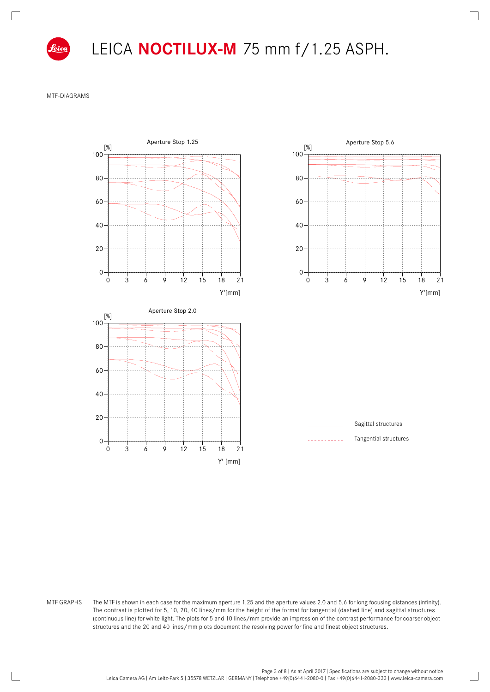

 $\Box$ 

LEICA **NOCTILUX-M** 75 mm f/1.25 ASPH. 40

MTF-DIAGRAMS



MTF GRAPHS The MTF is shown in each case for the maximum aperture 1.25 and the aperture values 2.0 and 5.6 for long focusing distances (infinity). The contrast is plotted for 5, 10, 20, 40 lines/mm for the height of the format for tangential (dashed line) and sagittal structures 0 0 (continuous line) for white light. The plots for 5 and 10 lines/mm provide an impression of the contrast performance for coarser object  $structures$  and the 20 and 40 lines/mm plots document the resolving power for fine and finest object structures.  $\mathcal{F}(\mathcal{M})$ 

 $\Box$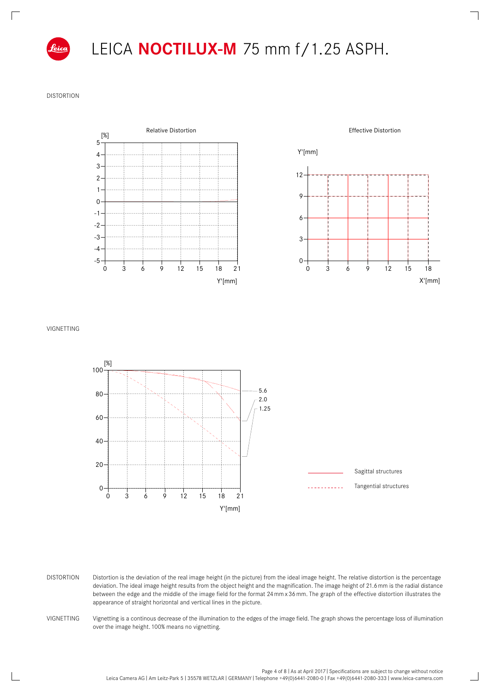

 $\Box$ 

#### LEICA **NOCTILUX-M** 75 mm f/1.25 ASPH.  $\cdot$  $\mathsf{r}$

Distortion  $0.500$ 





VIGNETTING



0 appearance of straight horizontal and vertical lines in the picture. 1 deviation. The ideal image height results from the object height and the magnification. The image height of 21.6mm is the radial distance 2 Distortion is the deviation of the real image height (in the picture) from the ideal image height. The relative distortion is the percentage Distortion between the edge and the middle of the image field for the format 24mmx 36mm. The graph of the effective distortion illustrates the

-2 Vignetting is a continous decrease of the illumination to the edges of the image field. The graph shows the percentage loss of illumination VIGNETTING over the image height. 100% means no vignetting.

 $\Box$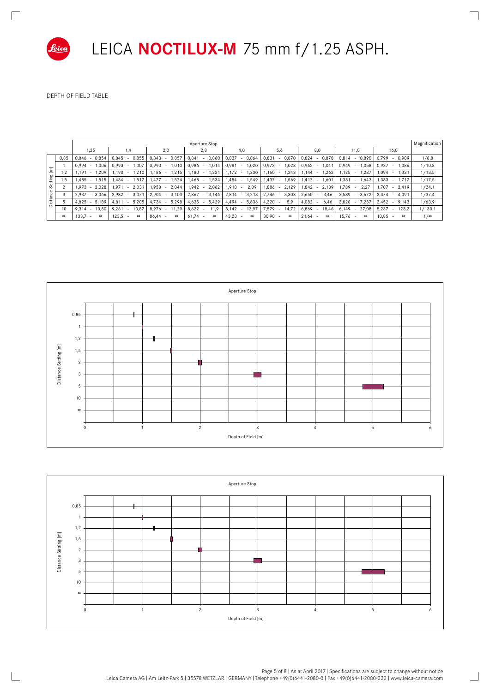

 $\mathbb{R}$ 

LEICA **NOCTILUX-M** 75 mm f/1.25 ASPH.

 $\overline{\phantom{a}}$ 

 $\Box$ 

Depth of field table

|                         |               | Magnification<br>Aperture Stop             |                                            |                                               |                                  |                          |                                               |                                               |                          |                                            |            |
|-------------------------|---------------|--------------------------------------------|--------------------------------------------|-----------------------------------------------|----------------------------------|--------------------------|-----------------------------------------------|-----------------------------------------------|--------------------------|--------------------------------------------|------------|
|                         |               | 1,25                                       | 1,4                                        | 2,0                                           | 2,8                              | 4,0                      | 5,6                                           | 8,0                                           | 11,0                     | 16,0                                       |            |
| Setting [m]<br>Distance | 0,85          | 0,846<br>0,854<br>$\sim$                   | 0,845<br>0,855                             | 0,843<br>0,857<br>٠                           | 0,841<br>0,860<br>$\sim$         | 0,837<br>0,864<br>۰      | 0,831<br>0,870<br>$\overline{\phantom{a}}$    | 0,824<br>0,878<br>٠                           | 0,814<br>0,890           | 0,799<br>0,909<br>$\sim$                   | 1/8.8      |
|                         |               | 0,994<br>1,006<br>$\sim$                   | 0,993<br>1,007<br>. .                      | 1,010<br>0,990<br>$\sim$                      | 1,014<br>0,986<br>$\sim$         | 0,981<br>1,020<br>٠      | 0,973<br>1,028                                | 0,962<br>1,041<br>$\sim$                      | 0,949<br>1.058<br>$\sim$ | 0,927<br>1,086<br>$\sim$                   | 1/10.8     |
|                         | 1,2           | 1,209<br>1,191<br>$\sim$                   | 1,190<br>1,210<br>$\overline{a}$           | 1,215<br>1.186<br>$\sim$                      | 1,180<br>1,221<br>$\overline{a}$ | 1,172<br>1,230<br>$\sim$ | 1,160<br>1,243                                | 1.144<br>1,262<br>$\sim$                      | 1,125<br>1,287           | 1,094<br>1.331                             | 1/13.5     |
|                         | 1,5           | $1,485 -$<br>1,515                         | 1,484<br>1,517<br>$\overline{\phantom{a}}$ | 1,477<br>1,524<br>$\sim$                      | 1,468<br>1,534                   | 1,454<br>1,549<br>$\sim$ | 1,437<br>1,569<br>$\overline{\phantom{a}}$    | 1,412<br>1,601<br>$\sim$                      | 1,381<br>1,643<br>$\sim$ | 1,333<br>1,717<br>$\sim$                   | 1/17.5     |
|                         | 2             | 2,028<br>1,973<br>$\sim$                   | 1,971<br>2,031<br>$\sim$                   | 2,044<br>1,958<br>$\sim$                      | 1,942<br>2,062<br>$\sim$         | 1,918<br>2,09<br>$\sim$  | 1,886<br>2,129<br>$\overline{\phantom{a}}$    | 1,842<br>2,189<br>$\overline{\phantom{a}}$    | 1,789<br>2,27            | 1,707<br>2,419<br>$\overline{\phantom{a}}$ | 1/24.1     |
|                         | 3             | 3,066<br>2,937<br>$\overline{\phantom{a}}$ | 3,07<br>2,932<br>$\sim$                    | 2,904<br>3,103<br>$\sim$                      | 3,146<br>2,867<br>$\sim$         | 3,213<br>2,814           | 2,746<br>3,308                                | 2,650<br>3,46<br>٠.                           | 2,539<br>3,672<br>$\sim$ | 2,374<br>4,091<br>٠                        | 1/37.4     |
|                         | 5             | 4,825<br>5,189<br>$\overline{\phantom{a}}$ | 4,811<br>5,205<br>$\blacksquare$           | 5,298<br>4,734                                | 4,635<br>5,429                   | 5,636<br>4,494           | 4,320<br>5,9                                  | 4,082<br>6,46                                 | 3,820<br>7,257           | 3,452<br>9,143<br>$\overline{\phantom{a}}$ | 1/63.9     |
|                         | 10            | 9,314<br>10,80<br>$\overline{\phantom{a}}$ | 9,261<br>10,87<br>$\overline{\phantom{a}}$ | 8,976<br>11,29<br>$\sim$                      | 8,622<br>11,9<br>$\sim$          | 8,142<br>12,97<br>$\sim$ | 7,579<br>14,72<br>$\overline{\phantom{a}}$    | 6,869<br>18,46                                | 6,149<br>27,08           | 5,237<br>123,2                             | 1/130.1    |
|                         | $\infty$      | $133,7 -$<br>$\infty$                      | 123,5<br>$\infty$<br>$\sim$                | 86,44<br>$\infty$<br>$\overline{\phantom{a}}$ | 61,74<br>$\infty$<br>$\sim$      | 43,23<br>$\infty$<br>٠   | 30,90<br>$\infty$<br>$\overline{\phantom{a}}$ | 21,64<br>$\infty$<br>$\overline{\phantom{a}}$ | $15,76 -$<br>$\infty$    | 10,85<br>$\infty$<br>$\sim$                | $1/\infty$ |
|                         |               |                                            |                                            |                                               |                                  |                          |                                               |                                               |                          |                                            |            |
|                         |               |                                            |                                            |                                               |                                  |                          |                                               |                                               |                          |                                            |            |
|                         |               |                                            |                                            |                                               |                                  |                          |                                               |                                               |                          |                                            |            |
|                         |               |                                            |                                            |                                               |                                  |                          |                                               |                                               |                          |                                            |            |
|                         |               |                                            |                                            |                                               |                                  |                          |                                               |                                               |                          |                                            |            |
|                         |               |                                            |                                            |                                               |                                  |                          |                                               |                                               |                          |                                            |            |
|                         |               |                                            |                                            |                                               |                                  |                          |                                               |                                               |                          |                                            |            |
|                         |               |                                            |                                            |                                               |                                  |                          |                                               |                                               |                          |                                            |            |
|                         |               |                                            |                                            |                                               |                                  |                          |                                               |                                               |                          |                                            |            |
|                         | Aperture Stop |                                            |                                            |                                               |                                  |                          |                                               |                                               |                          |                                            |            |



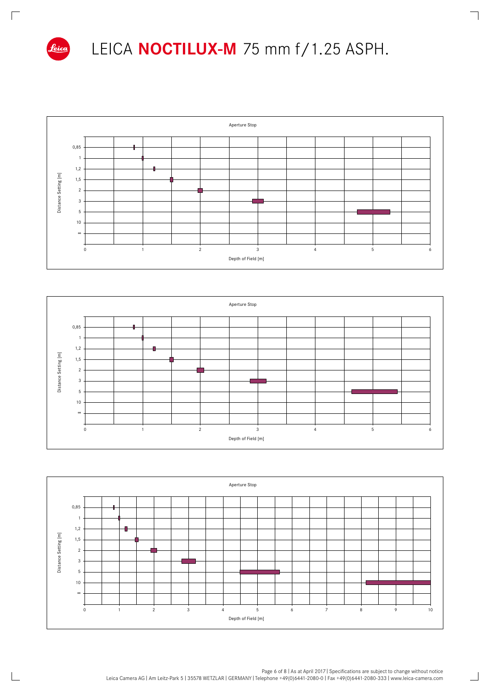

 $\mathbb{R}$ 

## LEICA **NOCTILUX-M** 75 mm f/1.25 ASPH.

ヿ

 $\Box$ 







Page 6 of 8 | As at April 2017 | Specifications are subject to change without notice Leica Camera AG I Am Leitz-Park 5 I 35578 WETZLAR I GERMANY I Telephone +49(0)6441-2080-0 I Fax +49(0)6441-2080-333 I www.leica-camera.com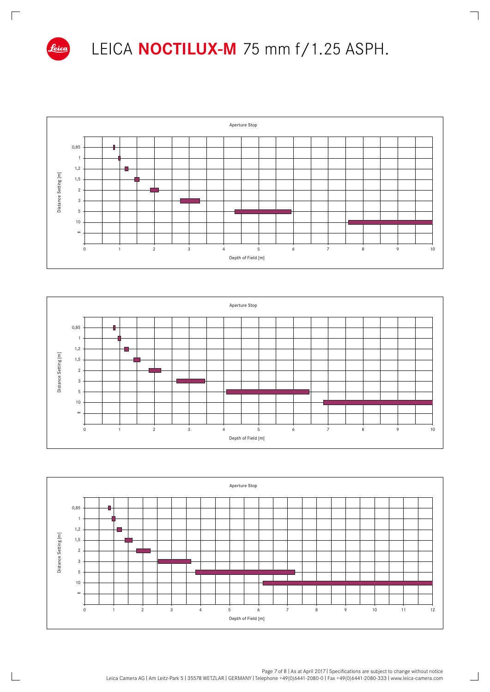

 $\mathbb{R}$ 

### LEICA **NOCTILUX-M** 75 mm f/1.25 ASPH.

┑

 $\Box$ 







Page 7 of 8 | As at April 2017 | Specifications are subject to change without notice Leica Camera AG I Am Leitz-Park 5 I 35578 WETZLAR I GERMANY I Telephone +49(0)6441-2080-0 I Fax +49(0)6441-2080-333 I www.leica-camera.com